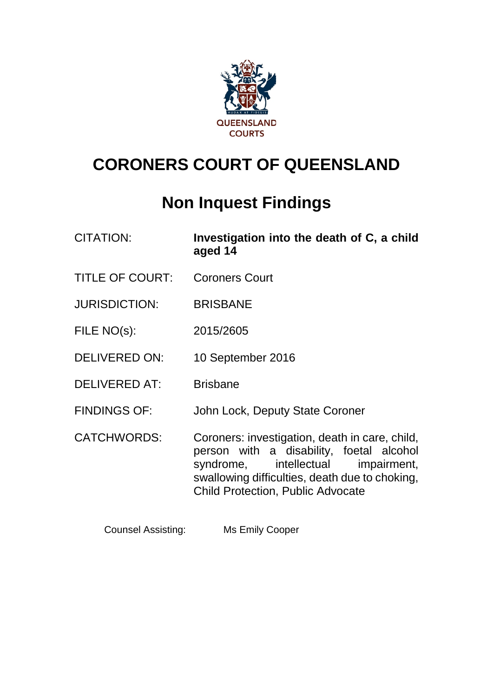

# **CORONERS COURT OF QUEENSLAND**

# **Non Inquest Findings**

| <b>CITATION:</b> | Investigation into the death of C, a child |
|------------------|--------------------------------------------|
|                  | aged 14                                    |

- TITLE OF COURT: Coroners Court
- JURISDICTION: BRISBANE
- FILE NO(s): 2015/2605
- DELIVERED ON: 10 September 2016
- DELIVERED AT: Brisbane
- FINDINGS OF: John Lock, Deputy State Coroner

CATCHWORDS: Coroners: investigation, death in care, child, person with a disability, foetal alcohol syndrome, intellectual impairment, swallowing difficulties, death due to choking, Child Protection, Public Advocate

Counsel Assisting: Ms Emily Cooper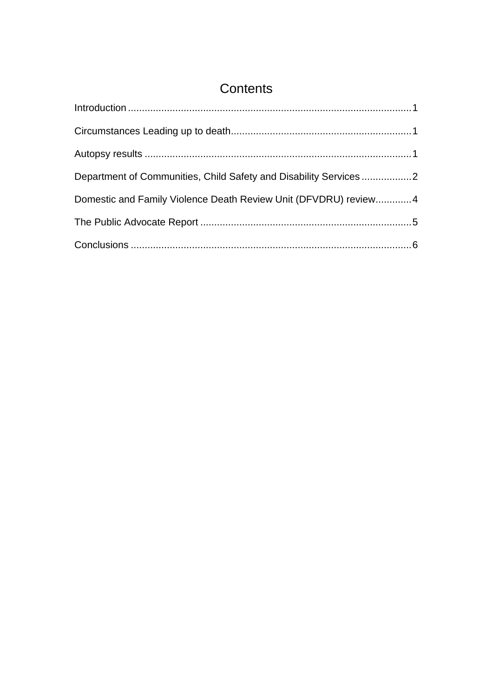# **Contents**

| Department of Communities, Child Safety and Disability Services2 |  |
|------------------------------------------------------------------|--|
| Domestic and Family Violence Death Review Unit (DFVDRU) review 4 |  |
|                                                                  |  |
|                                                                  |  |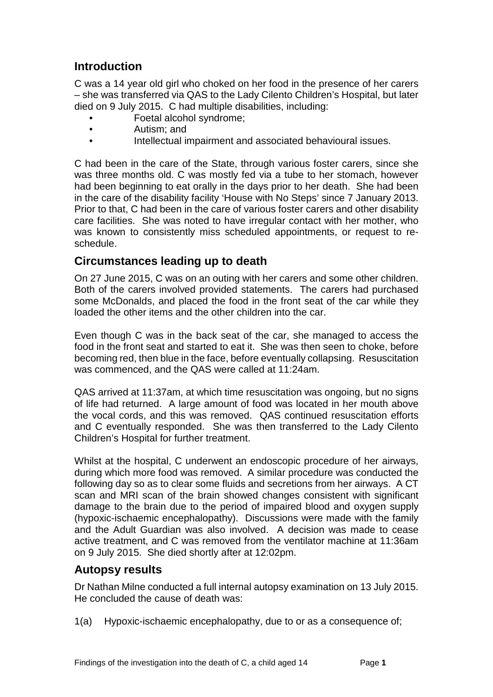## <span id="page-2-0"></span>**Introduction**

C was a 14 year old girl who choked on her food in the presence of her carers – she was transferred via QAS to the Lady Cilento Children's Hospital, but later died on 9 July 2015. C had multiple disabilities, including:

- Foetal alcohol syndrome;
- Autism; and
- Intellectual impairment and associated behavioural issues.

C had been in the care of the State, through various foster carers, since she was three months old. C was mostly fed via a tube to her stomach, however had been beginning to eat orally in the days prior to her death. She had been in the care of the disability facility 'House with No Steps' since 7 January 2013. Prior to that, C had been in the care of various foster carers and other disability care facilities. She was noted to have irregular contact with her mother, who was known to consistently miss scheduled appointments, or request to reschedule.

#### <span id="page-2-1"></span>**Circumstances leading up to death**

On 27 June 2015, C was on an outing with her carers and some other children. Both of the carers involved provided statements. The carers had purchased some McDonalds, and placed the food in the front seat of the car while they loaded the other items and the other children into the car.

Even though C was in the back seat of the car, she managed to access the food in the front seat and started to eat it. She was then seen to choke, before becoming red, then blue in the face, before eventually collapsing. Resuscitation was commenced, and the QAS were called at 11:24am.

QAS arrived at 11:37am, at which time resuscitation was ongoing, but no signs of life had returned. A large amount of food was located in her mouth above the vocal cords, and this was removed. QAS continued resuscitation efforts and C eventually responded. She was then transferred to the Lady Cilento Children's Hospital for further treatment.

Whilst at the hospital, C underwent an endoscopic procedure of her airways, during which more food was removed. A similar procedure was conducted the following day so as to clear some fluids and secretions from her airways. A CT scan and MRI scan of the brain showed changes consistent with significant damage to the brain due to the period of impaired blood and oxygen supply (hypoxic-ischaemic encephalopathy). Discussions were made with the family and the Adult Guardian was also involved. A decision was made to cease active treatment, and C was removed from the ventilator machine at 11:36am on 9 July 2015. She died shortly after at 12:02pm.

#### <span id="page-2-2"></span>**Autopsy results**

Dr Nathan Milne conducted a full internal autopsy examination on 13 July 2015. He concluded the cause of death was:

1(a) Hypoxic-ischaemic encephalopathy, due to or as a consequence of;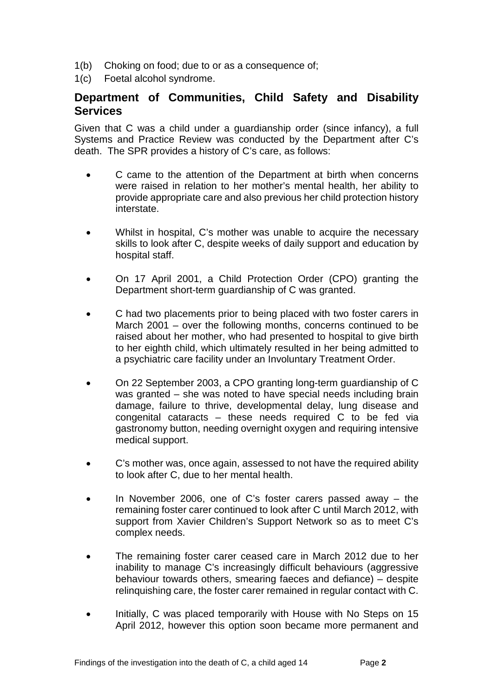- 1(b) Choking on food; due to or as a consequence of;
- 1(c) Foetal alcohol syndrome.

#### <span id="page-3-0"></span>**Department of Communities, Child Safety and Disability Services**

Given that C was a child under a guardianship order (since infancy), a full Systems and Practice Review was conducted by the Department after C's death. The SPR provides a history of C's care, as follows:

- C came to the attention of the Department at birth when concerns were raised in relation to her mother's mental health, her ability to provide appropriate care and also previous her child protection history interstate.
- Whilst in hospital, C's mother was unable to acquire the necessary skills to look after C, despite weeks of daily support and education by hospital staff.
- On 17 April 2001, a Child Protection Order (CPO) granting the Department short-term guardianship of C was granted.
- C had two placements prior to being placed with two foster carers in March 2001 – over the following months, concerns continued to be raised about her mother, who had presented to hospital to give birth to her eighth child, which ultimately resulted in her being admitted to a psychiatric care facility under an Involuntary Treatment Order.
- On 22 September 2003, a CPO granting long-term guardianship of C was granted – she was noted to have special needs including brain damage, failure to thrive, developmental delay, lung disease and congenital cataracts – these needs required C to be fed via gastronomy button, needing overnight oxygen and requiring intensive medical support.
- C's mother was, once again, assessed to not have the required ability to look after C, due to her mental health.
- In November 2006, one of C's foster carers passed away the remaining foster carer continued to look after C until March 2012, with support from Xavier Children's Support Network so as to meet C's complex needs.
- The remaining foster carer ceased care in March 2012 due to her inability to manage C's increasingly difficult behaviours (aggressive behaviour towards others, smearing faeces and defiance) – despite relinquishing care, the foster carer remained in regular contact with C.
- Initially, C was placed temporarily with House with No Steps on 15 April 2012, however this option soon became more permanent and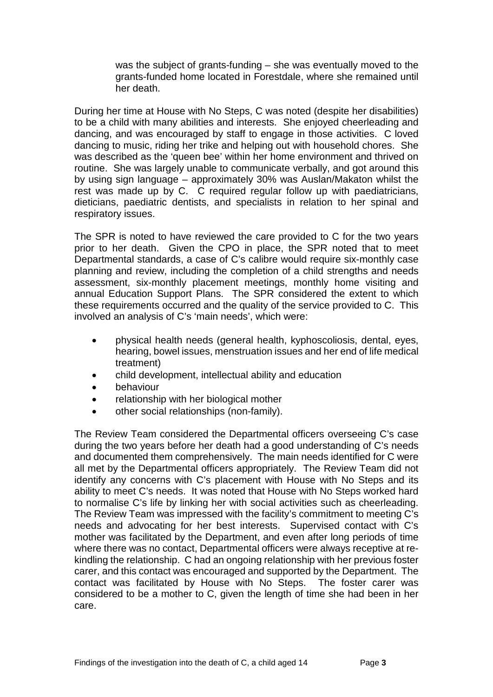was the subject of grants-funding – she was eventually moved to the grants-funded home located in Forestdale, where she remained until her death.

During her time at House with No Steps, C was noted (despite her disabilities) to be a child with many abilities and interests. She enjoyed cheerleading and dancing, and was encouraged by staff to engage in those activities. C loved dancing to music, riding her trike and helping out with household chores. She was described as the 'queen bee' within her home environment and thrived on routine. She was largely unable to communicate verbally, and got around this by using sign language – approximately 30% was Auslan/Makaton whilst the rest was made up by C. C required regular follow up with paediatricians, dieticians, paediatric dentists, and specialists in relation to her spinal and respiratory issues.

The SPR is noted to have reviewed the care provided to C for the two years prior to her death. Given the CPO in place, the SPR noted that to meet Departmental standards, a case of C's calibre would require six-monthly case planning and review, including the completion of a child strengths and needs assessment, six-monthly placement meetings, monthly home visiting and annual Education Support Plans. The SPR considered the extent to which these requirements occurred and the quality of the service provided to C. This involved an analysis of C's 'main needs', which were:

- physical health needs (general health, kyphoscoliosis, dental, eyes, hearing, bowel issues, menstruation issues and her end of life medical treatment)
- child development, intellectual ability and education
- behaviour
- relationship with her biological mother
- other social relationships (non-family).

The Review Team considered the Departmental officers overseeing C's case during the two years before her death had a good understanding of C's needs and documented them comprehensively. The main needs identified for C were all met by the Departmental officers appropriately. The Review Team did not identify any concerns with C's placement with House with No Steps and its ability to meet C's needs. It was noted that House with No Steps worked hard to normalise C's life by linking her with social activities such as cheerleading. The Review Team was impressed with the facility's commitment to meeting C's needs and advocating for her best interests. Supervised contact with C's mother was facilitated by the Department, and even after long periods of time where there was no contact, Departmental officers were always receptive at rekindling the relationship. C had an ongoing relationship with her previous foster carer, and this contact was encouraged and supported by the Department. The contact was facilitated by House with No Steps. The foster carer was considered to be a mother to C, given the length of time she had been in her care.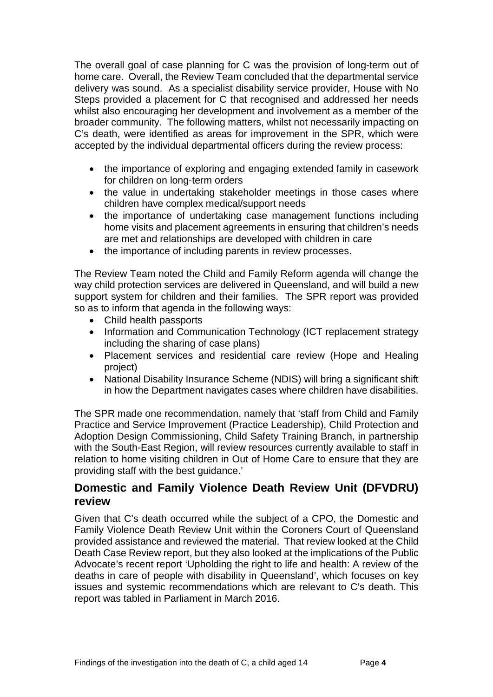The overall goal of case planning for C was the provision of long-term out of home care. Overall, the Review Team concluded that the departmental service delivery was sound. As a specialist disability service provider, House with No Steps provided a placement for C that recognised and addressed her needs whilst also encouraging her development and involvement as a member of the broader community. The following matters, whilst not necessarily impacting on C's death, were identified as areas for improvement in the SPR, which were accepted by the individual departmental officers during the review process:

- the importance of exploring and engaging extended family in casework for children on long-term orders
- the value in undertaking stakeholder meetings in those cases where children have complex medical/support needs
- the importance of undertaking case management functions including home visits and placement agreements in ensuring that children's needs are met and relationships are developed with children in care
- the importance of including parents in review processes.

The Review Team noted the Child and Family Reform agenda will change the way child protection services are delivered in Queensland, and will build a new support system for children and their families. The SPR report was provided so as to inform that agenda in the following ways:

- Child health passports
- Information and Communication Technology (ICT replacement strategy including the sharing of case plans)
- Placement services and residential care review (Hope and Healing project)
- National Disability Insurance Scheme (NDIS) will bring a significant shift in how the Department navigates cases where children have disabilities.

The SPR made one recommendation, namely that 'staff from Child and Family Practice and Service Improvement (Practice Leadership), Child Protection and Adoption Design Commissioning, Child Safety Training Branch, in partnership with the South-East Region, will review resources currently available to staff in relation to home visiting children in Out of Home Care to ensure that they are providing staff with the best guidance.'

#### <span id="page-5-0"></span>**Domestic and Family Violence Death Review Unit (DFVDRU) review**

Given that C's death occurred while the subject of a CPO, the Domestic and Family Violence Death Review Unit within the Coroners Court of Queensland provided assistance and reviewed the material. That review looked at the Child Death Case Review report, but they also looked at the implications of the Public Advocate's recent report 'Upholding the right to life and health: A review of the deaths in care of people with disability in Queensland', which focuses on key issues and systemic recommendations which are relevant to C's death. This report was tabled in Parliament in March 2016.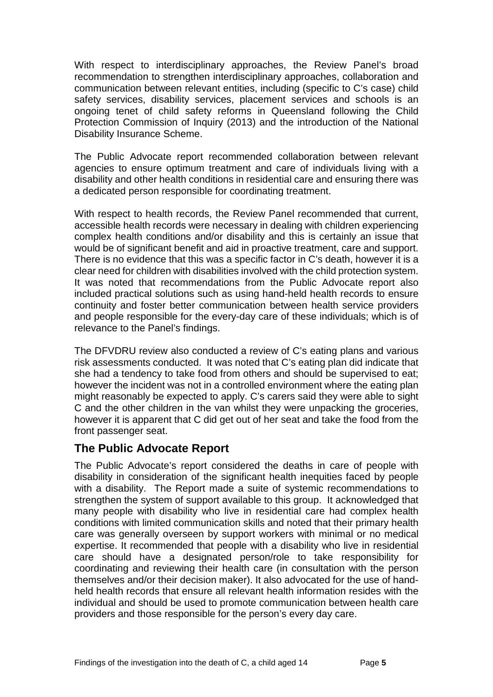With respect to interdisciplinary approaches, the Review Panel's broad recommendation to strengthen interdisciplinary approaches, collaboration and communication between relevant entities, including (specific to C's case) child safety services, disability services, placement services and schools is an ongoing tenet of child safety reforms in Queensland following the Child Protection Commission of Inquiry (2013) and the introduction of the National Disability Insurance Scheme.

The Public Advocate report recommended collaboration between relevant agencies to ensure optimum treatment and care of individuals living with a disability and other health conditions in residential care and ensuring there was a dedicated person responsible for coordinating treatment.

With respect to health records, the Review Panel recommended that current, accessible health records were necessary in dealing with children experiencing complex health conditions and/or disability and this is certainly an issue that would be of significant benefit and aid in proactive treatment, care and support. There is no evidence that this was a specific factor in C's death, however it is a clear need for children with disabilities involved with the child protection system. It was noted that recommendations from the Public Advocate report also included practical solutions such as using hand-held health records to ensure continuity and foster better communication between health service providers and people responsible for the every-day care of these individuals; which is of relevance to the Panel's findings.

The DFVDRU review also conducted a review of C's eating plans and various risk assessments conducted. It was noted that C's eating plan did indicate that she had a tendency to take food from others and should be supervised to eat; however the incident was not in a controlled environment where the eating plan might reasonably be expected to apply. C's carers said they were able to sight C and the other children in the van whilst they were unpacking the groceries, however it is apparent that C did get out of her seat and take the food from the front passenger seat.

### <span id="page-6-0"></span>**The Public Advocate Report**

The Public Advocate's report considered the deaths in care of people with disability in consideration of the significant health inequities faced by people with a disability. The Report made a suite of systemic recommendations to strengthen the system of support available to this group. It acknowledged that many people with disability who live in residential care had complex health conditions with limited communication skills and noted that their primary health care was generally overseen by support workers with minimal or no medical expertise. It recommended that people with a disability who live in residential care should have a designated person/role to take responsibility for coordinating and reviewing their health care (in consultation with the person themselves and/or their decision maker). It also advocated for the use of handheld health records that ensure all relevant health information resides with the individual and should be used to promote communication between health care providers and those responsible for the person's every day care.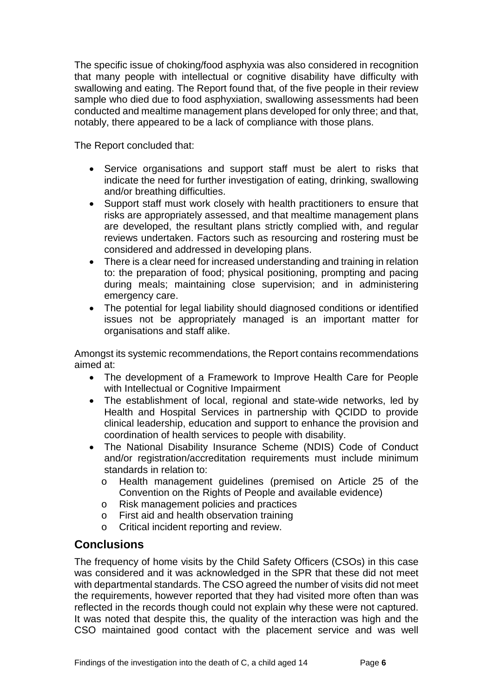The specific issue of choking/food asphyxia was also considered in recognition that many people with intellectual or cognitive disability have difficulty with swallowing and eating. The Report found that, of the five people in their review sample who died due to food asphyxiation, swallowing assessments had been conducted and mealtime management plans developed for only three; and that, notably, there appeared to be a lack of compliance with those plans.

The Report concluded that:

- Service organisations and support staff must be alert to risks that indicate the need for further investigation of eating, drinking, swallowing and/or breathing difficulties.
- Support staff must work closely with health practitioners to ensure that risks are appropriately assessed, and that mealtime management plans are developed, the resultant plans strictly complied with, and regular reviews undertaken. Factors such as resourcing and rostering must be considered and addressed in developing plans.
- There is a clear need for increased understanding and training in relation to: the preparation of food; physical positioning, prompting and pacing during meals; maintaining close supervision; and in administering emergency care.
- The potential for legal liability should diagnosed conditions or identified issues not be appropriately managed is an important matter for organisations and staff alike.

Amongst its systemic recommendations, the Report contains recommendations aimed at:

- The development of a Framework to Improve Health Care for People with Intellectual or Cognitive Impairment
- The establishment of local, regional and state-wide networks, led by Health and Hospital Services in partnership with QCIDD to provide clinical leadership, education and support to enhance the provision and coordination of health services to people with disability.
- The National Disability Insurance Scheme (NDIS) Code of Conduct and/or registration/accreditation requirements must include minimum standards in relation to:
	- o Health management guidelines (premised on Article 25 of the Convention on the Rights of People and available evidence)
	- o Risk management policies and practices
	- o First aid and health observation training
	- o Critical incident reporting and review.

### <span id="page-7-0"></span>**Conclusions**

The frequency of home visits by the Child Safety Officers (CSOs) in this case was considered and it was acknowledged in the SPR that these did not meet with departmental standards. The CSO agreed the number of visits did not meet the requirements, however reported that they had visited more often than was reflected in the records though could not explain why these were not captured. It was noted that despite this, the quality of the interaction was high and the CSO maintained good contact with the placement service and was well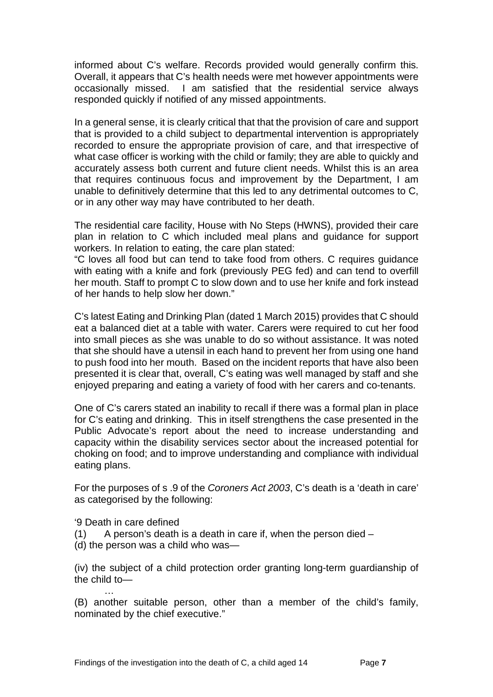informed about C's welfare. Records provided would generally confirm this. Overall, it appears that C's health needs were met however appointments were occasionally missed. I am satisfied that the residential service always responded quickly if notified of any missed appointments.

In a general sense, it is clearly critical that that the provision of care and support that is provided to a child subject to departmental intervention is appropriately recorded to ensure the appropriate provision of care, and that irrespective of what case officer is working with the child or family; they are able to quickly and accurately assess both current and future client needs. Whilst this is an area that requires continuous focus and improvement by the Department, I am unable to definitively determine that this led to any detrimental outcomes to C, or in any other way may have contributed to her death.

The residential care facility, House with No Steps (HWNS), provided their care plan in relation to C which included meal plans and guidance for support workers. In relation to eating, the care plan stated:

"C loves all food but can tend to take food from others. C requires guidance with eating with a knife and fork (previously PEG fed) and can tend to overfill her mouth. Staff to prompt C to slow down and to use her knife and fork instead of her hands to help slow her down."

C's latest Eating and Drinking Plan (dated 1 March 2015) provides that C should eat a balanced diet at a table with water. Carers were required to cut her food into small pieces as she was unable to do so without assistance. It was noted that she should have a utensil in each hand to prevent her from using one hand to push food into her mouth. Based on the incident reports that have also been presented it is clear that, overall, C's eating was well managed by staff and she enjoyed preparing and eating a variety of food with her carers and co-tenants.

One of C's carers stated an inability to recall if there was a formal plan in place for C's eating and drinking. This in itself strengthens the case presented in the Public Advocate's report about the need to increase understanding and capacity within the disability services sector about the increased potential for choking on food; and to improve understanding and compliance with individual eating plans.

For the purposes of s .9 of the *Coroners Act 2003*, C's death is a 'death in care' as categorised by the following:

'9 Death in care defined

…

- $(1)$  A person's death is a death in care if, when the person died –
- (d) the person was a child who was—

(iv) the subject of a child protection order granting long-term guardianship of the child to—

(B) another suitable person, other than a member of the child's family, nominated by the chief executive."